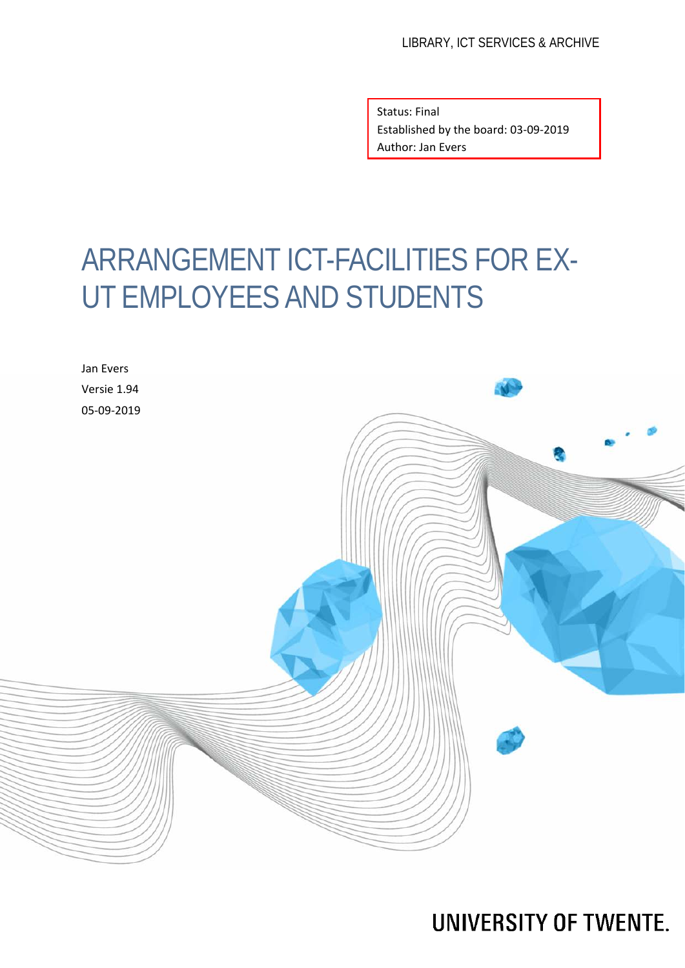Status: Final Established by the board: 03-09-2019 Author: Jan Evers

# ARRANGEMENT ICT-FACILITIES FOR EX-UT EMPLOYEES AND STUDENTS



**UNIVERSITY OF TWENTE.**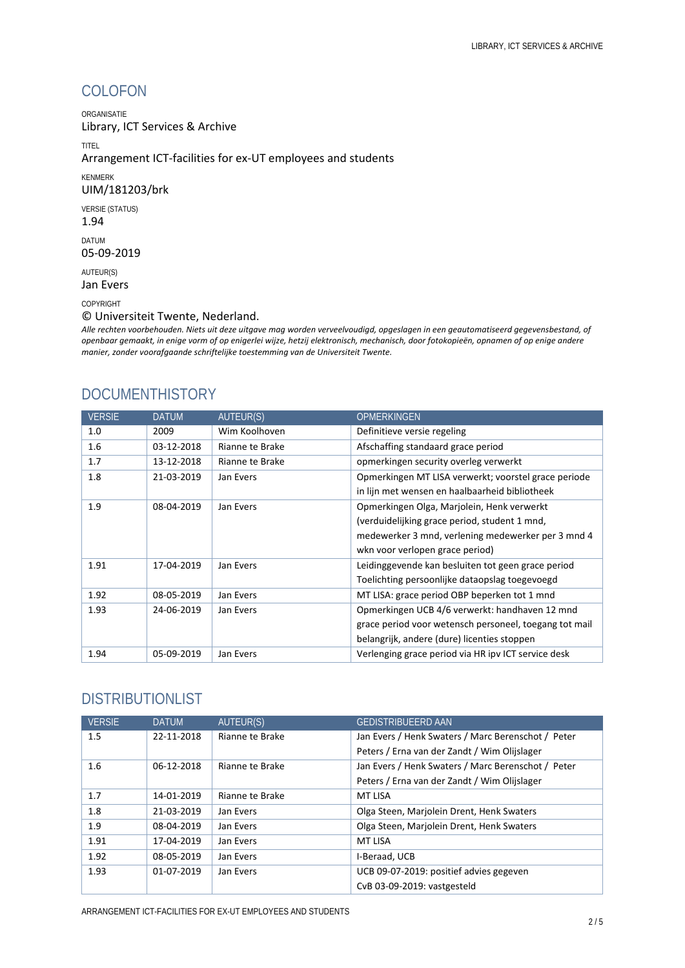### COLOFON

ORGANISATIE

Library, ICT Services & Archive

TITEL

Arrangement ICT-facilities for ex-UT employees and students

KENMERK

#### UIM/181203/brk

VERSIE (STATUS)

1.94

DATUM 05-09-2019

AUTEUR(S) Jan Evers

#### COPYRIGHT

© Universiteit Twente, Nederland.

*Alle rechten voorbehouden. Niets uit deze uitgave mag worden verveelvoudigd, opgeslagen in een geautomatiseerd gegevensbestand, of openbaar gemaakt, in enige vorm of op enigerlei wijze, hetzij elektronisch, mechanisch, door fotokopieën, opnamen of op enige andere manier, zonder voorafgaande schriftelijke toestemming van de Universiteit Twente.*

#### **DOCUMENTHISTORY**

| <b>VERSIE</b> | <b>DATUM</b> | <b>AUTEUR(S)</b> | <b>OPMERKINGEN</b>                                     |
|---------------|--------------|------------------|--------------------------------------------------------|
| 1.0           | 2009         | Wim Koolhoven    | Definitieve versie regeling                            |
| 1.6           | 03-12-2018   | Rianne te Brake  | Afschaffing standaard grace period                     |
| 1.7           | 13-12-2018   | Rianne te Brake  | opmerkingen security overleg verwerkt                  |
| 1.8           | 21-03-2019   | Jan Evers        | Opmerkingen MT LISA verwerkt; voorstel grace periode   |
|               |              |                  | in lijn met wensen en haalbaarheid bibliotheek         |
| 1.9           | 08-04-2019   | Jan Evers        | Opmerkingen Olga, Marjolein, Henk verwerkt             |
|               |              |                  | (verduidelijking grace period, student 1 mnd,          |
|               |              |                  | medewerker 3 mnd, verlening medewerker per 3 mnd 4     |
|               |              |                  | wkn voor verlopen grace period)                        |
| 1.91          | 17-04-2019   | Jan Evers        | Leidinggevende kan besluiten tot geen grace period     |
|               |              |                  | Toelichting persoonlijke dataopslag toegevoegd         |
| 1.92          | 08-05-2019   | Jan Evers        | MT LISA: grace period OBP beperken tot 1 mnd           |
| 1.93          | 24-06-2019   | Jan Evers        | Opmerkingen UCB 4/6 verwerkt: handhaven 12 mnd         |
|               |              |                  | grace period voor wetensch personeel, toegang tot mail |
|               |              |                  | belangrijk, andere (dure) licenties stoppen            |
| 1.94          | 05-09-2019   | Jan Evers        | Verlenging grace period via HR ipv ICT service desk    |

#### DISTRIBUTIONLIST

| <b>VERSIE</b> | <b>DATUM</b> | AUTEUR(S)       | <b>GEDISTRIBUEERD AAN</b>                          |
|---------------|--------------|-----------------|----------------------------------------------------|
| 1.5           | 22-11-2018   | Rianne te Brake | Jan Evers / Henk Swaters / Marc Berenschot / Peter |
|               |              |                 | Peters / Erna van der Zandt / Wim Olijslager       |
| 1.6           | 06-12-2018   | Rianne te Brake | Jan Evers / Henk Swaters / Marc Berenschot / Peter |
|               |              |                 | Peters / Erna van der Zandt / Wim Olijslager       |
| 1.7           | 14-01-2019   | Rianne te Brake | <b>MT LISA</b>                                     |
| 1.8           | 21-03-2019   | Jan Evers       | Olga Steen, Marjolein Drent, Henk Swaters          |
| 1.9           | 08-04-2019   | Jan Evers       | Olga Steen, Marjolein Drent, Henk Swaters          |
| 1.91          | 17-04-2019   | Jan Evers       | <b>MT LISA</b>                                     |
| 1.92          | 08-05-2019   | Jan Evers       | I-Beraad, UCB                                      |
| 1.93          | 01-07-2019   | Jan Evers       | UCB 09-07-2019: positief advies gegeven            |
|               |              |                 | CvB 03-09-2019: vastgesteld                        |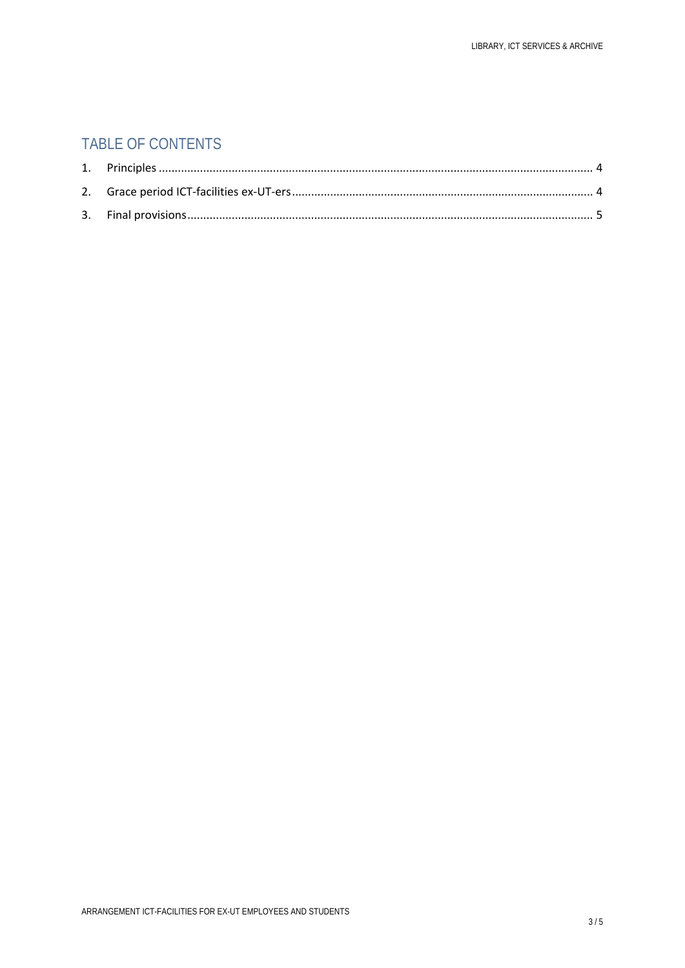### TABLE OF CONTENTS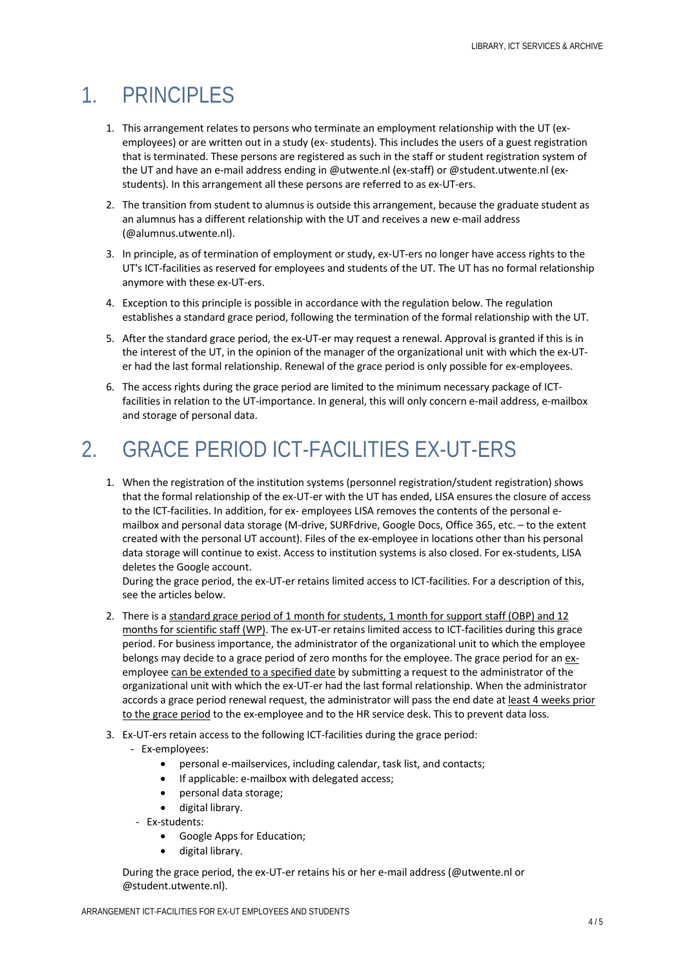## <span id="page-3-0"></span>1. PRINCIPLES

- 1. This arrangement relates to persons who terminate an employment relationship with the UT (exemployees) or are written out in a study (ex- students). This includes the users of a guest registration that is terminated. These persons are registered as such in the staff or student registration system of the UT and have an e-mail address ending in @utwente.nl (ex-staff) or @student.utwente.nl (exstudents). In this arrangement all these persons are referred to as ex-UT-ers.
- 2. The transition from student to alumnus is outside this arrangement, because the graduate student as an alumnus has a different relationship with the UT and receives a new e-mail address (@alumnus.utwente.nl).
- 3. In principle, as of termination of employment or study, ex-UT-ers no longer have access rights to the UT's ICT-facilities as reserved for employees and students of the UT. The UT has no formal relationship anymore with these ex-UT-ers.
- 4. Exception to this principle is possible in accordance with the regulation below. The regulation establishes a standard grace period, following the termination of the formal relationship with the UT.
- 5. After the standard grace period, the ex-UT-er may request a renewal. Approval is granted if this is in the interest of the UT, in the opinion of the manager of the organizational unit with which the ex-UTer had the last formal relationship. Renewal of the grace period is only possible for ex-employees.
- 6. The access rights during the grace period are limited to the minimum necessary package of ICTfacilities in relation to the UT-importance. In general, this will only concern e-mail address, e-mailbox and storage of personal data.

# <span id="page-3-1"></span>2. GRACE PERIOD ICT-FACILITIES EX-UT-ERS

1. When the registration of the institution systems (personnel registration/student registration) shows that the formal relationship of the ex-UT-er with the UT has ended, LISA ensures the closure of access to the ICT-facilities. In addition, for ex- employees LISA removes the contents of the personal emailbox and personal data storage (M-drive, SURFdrive, Google Docs, Office 365, etc. – to the extent created with the personal UT account). Files of the ex-employee in locations other than his personal data storage will continue to exist. Access to institution systems is also closed. For ex-students, LISA deletes the Google account.

During the grace period, the ex-UT-er retains limited access to ICT-facilities. For a description of this, see the articles below.

- 2. There is a standard grace period of 1 month for students, 1 month for support staff (OBP) and 12 months for scientific staff (WP). The ex-UT-er retains limited access to ICT-facilities during this grace period. For business importance, the administrator of the organizational unit to which the employee belongs may decide to a grace period of zero months for the employee. The grace period for an exemployee can be extended to a specified date by submitting a request to the administrator of the organizational unit with which the ex-UT-er had the last formal relationship. When the administrator accords a grace period renewal request, the administrator will pass the end date at least 4 weeks prior to the grace period to the ex-employee and to the HR service desk. This to prevent data loss.
- 3. Ex-UT-ers retain access to the following ICT-facilities during the grace period:
	- Ex-employees:
		- personal e-mailservices, including calendar, task list, and contacts;
		- If applicable: e-mailbox with delegated access;
		- personal data storage;
		- digital library.
	- Ex-students:
		- Google Apps for Education;
		- digital library.

During the grace period, the ex-UT-er retains his or her e-mail address (@utwente.nl or @student.utwente.nl).